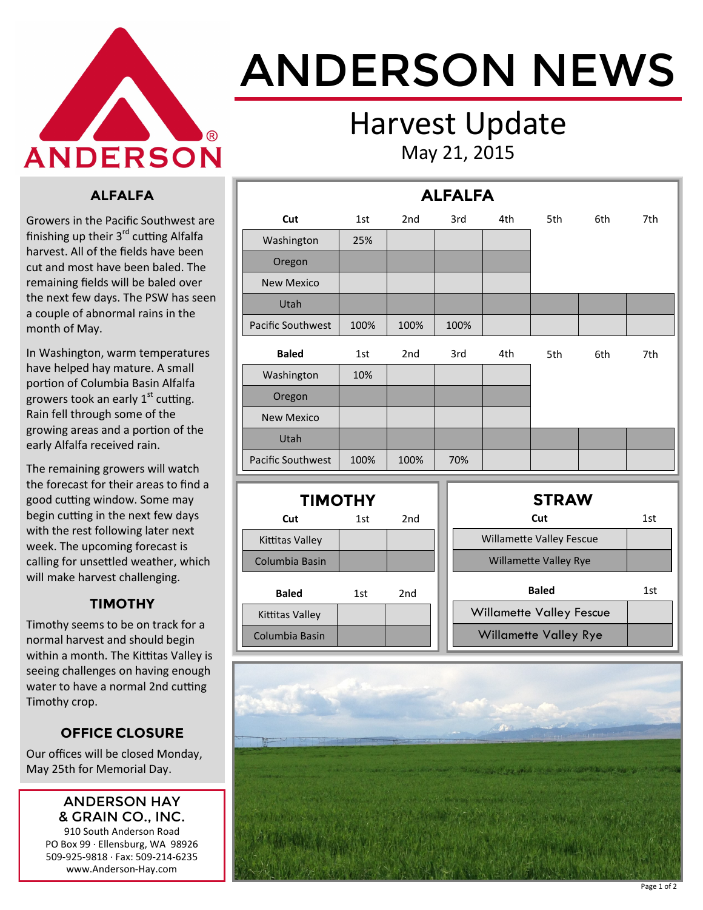

# ANDERSON NEWS

### Harvest Update May 21, 2015

#### **ALFALFA**

Growers in the Pacific Southwest are finishing up their 3<sup>rd</sup> cutting Alfalfa harvest. All of the fields have been cut and most have been baled. The remaining fields will be baled over the next few days. The PSW has seen a couple of abnormal rains in the month of May.

In Washington, warm temperatures have helped hay mature. A small portion of Columbia Basin Alfalfa growers took an early  $1<sup>st</sup>$  cutting. Rain fell through some of the growing areas and a portion of the early Alfalfa received rain.

The remaining growers will watch the forecast for their areas to find a good cutting window. Some may begin cutting in the next few days with the rest following later next week. The upcoming forecast is calling for unsettled weather, which will make harvest challenging.

#### **TIMOTHY**

Timothy seems to be on track for a normal harvest and should begin within a month. The Kittitas Valley is seeing challenges on having enough water to have a normal 2nd cutting Timothy crop.

#### **OFFICE CLOSURE**

Our offices will be closed Monday, May 25th for Memorial Day.

#### ANDERSON HAY & GRAIN CO., INC.

910 South Anderson Road PO Box 99 · Ellensburg, WA 98926 509-925-9818 · Fax: 509-214-6235 www.Anderson-Hay.com

|                          | <b>ALFALFA</b> |                 |      |                                 |              |     |     |  |  |  |
|--------------------------|----------------|-----------------|------|---------------------------------|--------------|-----|-----|--|--|--|
| Cut                      | 1st            | 2 <sub>nd</sub> | 3rd  | 4th                             | 5th          | 6th | 7th |  |  |  |
| Washington               | 25%            |                 |      |                                 |              |     |     |  |  |  |
| Oregon                   |                |                 |      |                                 |              |     |     |  |  |  |
| <b>New Mexico</b>        |                |                 |      |                                 |              |     |     |  |  |  |
| Utah                     |                |                 |      |                                 |              |     |     |  |  |  |
| Pacific Southwest        | 100%           | 100%            | 100% |                                 |              |     |     |  |  |  |
| <b>Baled</b>             | 1st            | 2 <sub>nd</sub> | 3rd  | 4th                             | 5th          | 6th | 7th |  |  |  |
| Washington               | 10%            |                 |      |                                 |              |     |     |  |  |  |
| Oregon                   |                |                 |      |                                 |              |     |     |  |  |  |
| <b>New Mexico</b>        |                |                 |      |                                 |              |     |     |  |  |  |
| Utah                     |                |                 |      |                                 |              |     |     |  |  |  |
| <b>Pacific Southwest</b> | 100%           | 100%            | 70%  |                                 |              |     |     |  |  |  |
|                          |                |                 |      |                                 |              |     |     |  |  |  |
| <b>TIMOTHY</b>           |                |                 |      |                                 | <b>STRAW</b> |     |     |  |  |  |
| Cut                      | 1st            | 2 <sub>nd</sub> |      |                                 | Cut          |     | 1st |  |  |  |
| Kittitas Valley          |                |                 |      | <b>Willamette Valley Fescue</b> |              |     |     |  |  |  |
| Columbia Basin           |                |                 |      | <b>Willamette Valley Rye</b>    |              |     |     |  |  |  |

| 1st | 2nd | <b>Baled</b>                    | 1st                              |
|-----|-----|---------------------------------|----------------------------------|
|     |     | <b>Willamette Valley Fescue</b> |                                  |
|     |     | <b>Willamette Valley Rye</b>    |                                  |
|     |     |                                 | <b>VVIIIQIIICCCC VQIICY IVVC</b> |